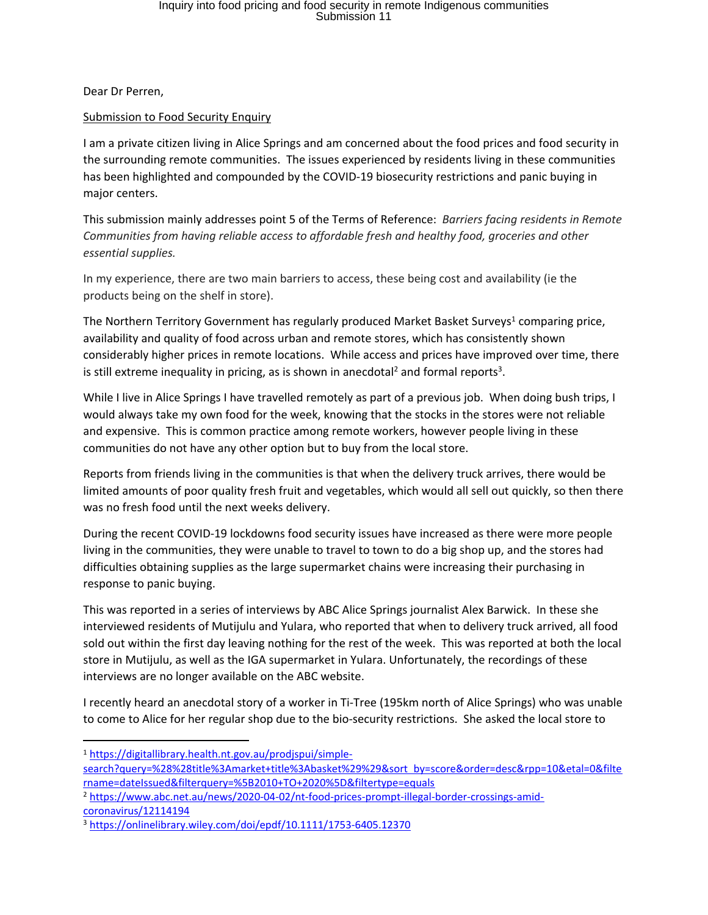Dear Dr Perren,

## Submission to Food Security Enquiry

I am a private citizen living in Alice Springs and am concerned about the food prices and food security in the surrounding remote communities. The issues experienced by residents living in these communities has been highlighted and compounded by the COVID-19 biosecurity restrictions and panic buying in major centers.

This submission mainly addresses point 5 of the Terms of Reference: *Barriers facing residents in Remote Communities from having reliable access to affordable fresh and healthy food, groceries and other essential supplies.*

In my experience, there are two main barriers to access, these being cost and availability (ie the products being on the shelf in store).

The Northern Territory Government has regularly produced Market Basket Surveys<sup>1</sup> comparing price, availability and quality of food across urban and remote stores, which has consistently shown considerably higher prices in remote locations. While access and prices have improved over time, there is still extreme inequality in pricing, as is shown in anecdotal<sup>2</sup> and formal reports<sup>3</sup>.

While I live in Alice Springs I have travelled remotely as part of a previous job. When doing bush trips, I would always take my own food for the week, knowing that the stocks in the stores were not reliable and expensive. This is common practice among remote workers, however people living in these communities do not have any other option but to buy from the local store.

Reports from friends living in the communities is that when the delivery truck arrives, there would be limited amounts of poor quality fresh fruit and vegetables, which would all sell out quickly, so then there was no fresh food until the next weeks delivery.

During the recent COVID-19 lockdowns food security issues have increased as there were more people living in the communities, they were unable to travel to town to do a big shop up, and the stores had difficulties obtaining supplies as the large supermarket chains were increasing their purchasing in response to panic buying.

This was reported in a series of interviews by ABC Alice Springs journalist Alex Barwick. In these she interviewed residents of Mutijulu and Yulara, who reported that when to delivery truck arrived, all food sold out within the first day leaving nothing for the rest of the week. This was reported at both the local store in Mutijulu, as well as the IGA supermarket in Yulara. Unfortunately, the recordings of these interviews are no longer available on the ABC website.

I recently heard an anecdotal story of a worker in Ti-Tree (195km north of Alice Springs) who was unable to come to Alice for her regular shop due to the bio-security restrictions. She asked the local store to

<sup>1</sup> https://digitallibrary.health.nt.gov.au/prodjspui/simple-

search?query=%28%28title%3Amarket+title%3Abasket%29%29&sort by=score&order=desc&rpp=10&etal=0&filte rname=dateIssued&filterquery=%5B2010+TO+2020%5D&filtertype=equals

<sup>2</sup> https://www.abc.net.au/news/2020-04-02/nt-food-prices-prompt-illegal-border-crossings-amidcoronavirus/12114194

<sup>3</sup> https://onlinelibrary.wiley.com/doi/epdf/10.1111/1753-6405.12370